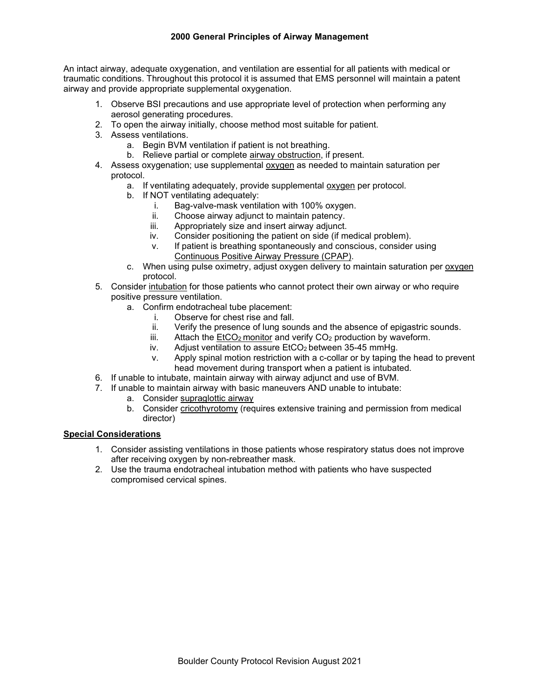An intact airway, adequate oxygenation, and ventilation are essential for all patients with medical or traumatic conditions. Throughout this protocol it is assumed that EMS personnel will maintain a patent airway and provide appropriate supplemental oxygenation.

- 1. Observe BSI precautions and use appropriate level of protection when performing any aerosol generating procedures.
- 2. To open the airway initially, choose method most suitable for patient.
- 3. Assess ventilations.
	- a. Begin BVM ventilation if patient is not breathing.
	- b. Relieve partial or complete airway obstruction, if present.
- 4. Assess oxygenation; use supplemental oxygen as needed to maintain saturation per protocol.
	- a. If ventilating adequately, provide supplemental oxygen per protocol.
	- b. If NOT ventilating adequately:
		- i. Bag-valve-mask ventilation with 100% oxygen.<br>ii. Choose airway adiunct to maintain patency.
		- Choose airway adjunct to maintain patency.
		- iii. Appropriately size and insert airway adjunct.
		- iv. Consider positioning the patient on side (if medical problem).
		- v. If patient is breathing spontaneously and conscious, consider using Continuous Positive Airway Pressure (CPAP).
	- c. When using pulse oximetry, adjust oxygen delivery to maintain saturation per oxygen protocol.
- 5. Consider intubation for those patients who cannot protect their own airway or who require positive pressure ventilation.
	- a. Confirm endotracheal tube placement:
		- i. Observe for chest rise and fall.
		- ii. Verify the presence of lung sounds and the absence of epigastric sounds.
		- iii. Attach the  $E<sub>1</sub>CO<sub>2</sub>$  monitor and verify  $CO<sub>2</sub>$  production by waveform.
		- iv. Adjust ventilation to assure  $E<sub>1</sub>CO<sub>2</sub>$  between 35-45 mmHg.
		- v. Apply spinal motion restriction with a c-collar or by taping the head to prevent head movement during transport when a patient is intubated.
- 6. If unable to intubate, maintain airway with airway adjunct and use of BVM.
- 7. If unable to maintain airway with basic maneuvers AND unable to intubate:
	- a. Consider supraglottic airway
	- b. Consider cricothyrotomy (requires extensive training and permission from medical director)

# **Special Considerations**

- 1. Consider assisting ventilations in those patients whose respiratory status does not improve after receiving oxygen by non-rebreather mask.
- 2. Use the trauma endotracheal intubation method with patients who have suspected compromised cervical spines.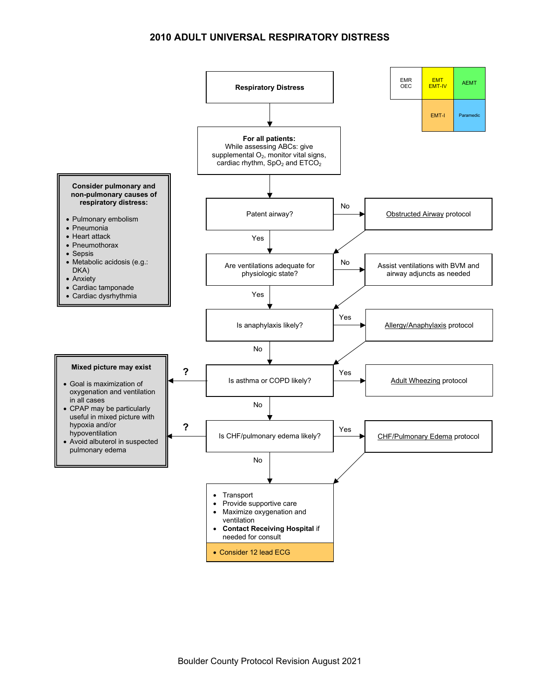# **2010 ADULT UNIVERSAL RESPIRATORY DISTRESS**

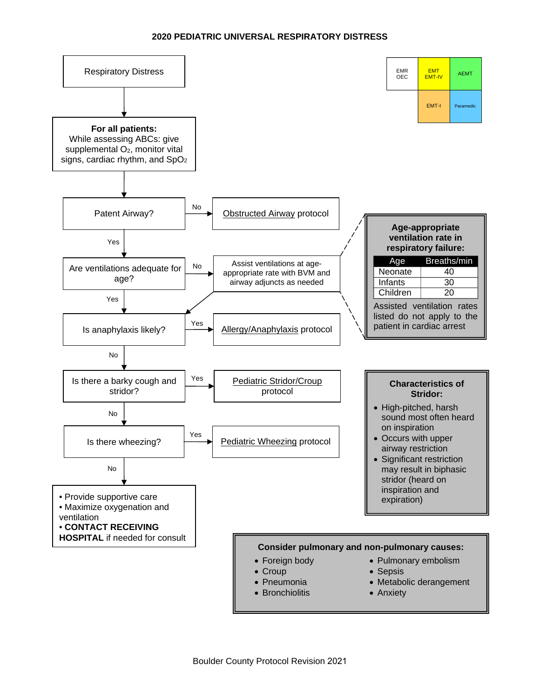## **2020 PEDIATRIC UNIVERSAL RESPIRATORY DISTRESS**